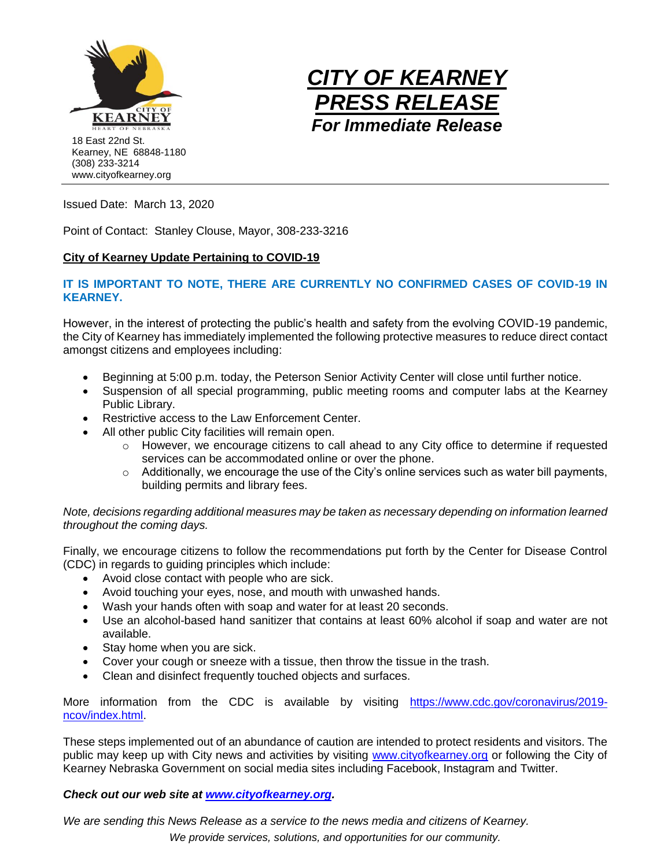



Issued Date: March 13, 2020

Point of Contact: Stanley Clouse, Mayor, 308-233-3216

## **City of Kearney Update Pertaining to COVID-19**

## **IT IS IMPORTANT TO NOTE, THERE ARE CURRENTLY NO CONFIRMED CASES OF COVID-19 IN KEARNEY.**

However, in the interest of protecting the public's health and safety from the evolving COVID-19 pandemic, the City of Kearney has immediately implemented the following protective measures to reduce direct contact amongst citizens and employees including:

- Beginning at 5:00 p.m. today, the Peterson Senior Activity Center will close until further notice.
- Suspension of all special programming, public meeting rooms and computer labs at the Kearney Public Library.
- Restrictive access to the Law Enforcement Center.
- All other public City facilities will remain open.
	- o However, we encourage citizens to call ahead to any City office to determine if requested services can be accommodated online or over the phone.
	- $\circ$  Additionally, we encourage the use of the City's online services such as water bill payments, building permits and library fees.

## *Note, decisions regarding additional measures may be taken as necessary depending on information learned throughout the coming days.*

Finally, we encourage citizens to follow the recommendations put forth by the Center for Disease Control (CDC) in regards to guiding principles which include:

- Avoid close contact with people who are sick.
- Avoid touching your eyes, nose, and mouth with unwashed hands.
- Wash your hands often with soap and water for at least 20 seconds.
- Use an alcohol-based hand sanitizer that contains at least 60% alcohol if soap and water are not available.
- Stay home when you are sick.
- Cover your cough or sneeze with a tissue, then throw the tissue in the trash.
- Clean and disinfect frequently touched objects and surfaces.

More information from the CDC is available by visiting [https://www.cdc.gov/coronavirus/2019](https://www.cdc.gov/coronavirus/2019-ncov/index.html) [ncov/index.html.](https://www.cdc.gov/coronavirus/2019-ncov/index.html)

These steps implemented out of an abundance of caution are intended to protect residents and visitors. The public may keep up with City news and activities by visiting [www.cityofkearney.org](http://www.cityofkearney.org/) or following the City of Kearney Nebraska Government on social media sites including Facebook, Instagram and Twitter.

## *Check out our web site at [www.cityofkearney.org.](http://www.cityofkearney.org/)*

*We provide services, solutions, and opportunities for our community. We are sending this News Release as a service to the news media and citizens of Kearney.*